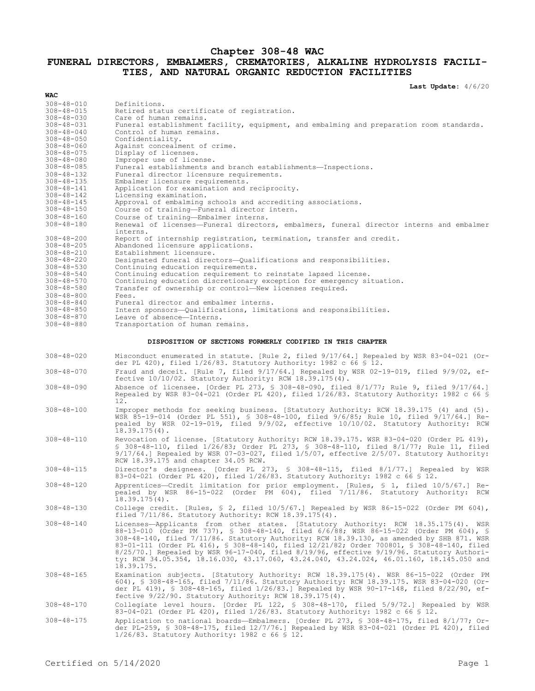## **Chapter 308-48 WAC FUNERAL DIRECTORS, EMBALMERS, CREMATORIES, ALKALINE HYDROLYSIS FACILI-TIES, AND NATURAL ORGANIC REDUCTION FACILITIES**

**Last Update:** 4/6/20

| <b>WAC</b>                           |                                                                                                                                                                                        |
|--------------------------------------|----------------------------------------------------------------------------------------------------------------------------------------------------------------------------------------|
| $308 - 48 - 010$                     | Definitions.                                                                                                                                                                           |
| $308 - 48 - 015$                     | Retired status certificate of registration.                                                                                                                                            |
| $308 - 48 - 030$                     | Care of human remains.                                                                                                                                                                 |
| $308 - 48 - 031$                     | Funeral establishment facility, equipment, and embalming and preparation room standards.                                                                                               |
| $308 - 48 - 040$                     | Control of human remains.                                                                                                                                                              |
| $308 - 48 - 050$<br>$308 - 48 - 060$ | Confidentiality.<br>Against concealment of crime.                                                                                                                                      |
| $308 - 48 - 075$                     | Display of licenses.                                                                                                                                                                   |
| $308 - 48 - 080$                     | Improper use of license.                                                                                                                                                               |
| $308 - 48 - 085$                     | Funeral establishments and branch establishments-Inspections.                                                                                                                          |
| $308 - 48 - 132$                     | Funeral director licensure requirements.                                                                                                                                               |
| $308 - 48 - 135$                     | Embalmer licensure requirements.                                                                                                                                                       |
| $308 - 48 - 141$                     | Application for examination and reciprocity.                                                                                                                                           |
| $308 - 48 - 142$<br>$308 - 48 - 145$ | Licensing examination.<br>Approval of embalming schools and accrediting associations.                                                                                                  |
| $308 - 48 - 150$                     | Course of training-Funeral director intern.                                                                                                                                            |
| $308 - 48 - 160$                     | Course of training-Embalmer interns.                                                                                                                                                   |
| $308 - 48 - 180$                     | Renewal of licenses—Funeral directors, embalmers, funeral director interns and embalmer                                                                                                |
|                                      | interns.                                                                                                                                                                               |
| $308 - 48 - 200$                     | Report of internship registration, termination, transfer and credit.                                                                                                                   |
| $308 - 48 - 205$                     | Abandoned licensure applications.                                                                                                                                                      |
| $308 - 48 - 210$<br>$308 - 48 - 220$ | Establishment licensure.                                                                                                                                                               |
| $308 - 48 - 530$                     | Designated funeral directors-Qualifications and responsibilities.<br>Continuing education requirements.                                                                                |
| $308 - 48 - 540$                     | Continuing education requirement to reinstate lapsed license.                                                                                                                          |
| $308 - 48 - 570$                     | Continuing education discretionary exception for emergency situation.                                                                                                                  |
| $308 - 48 - 580$                     | Transfer of ownership or control-New licenses required.                                                                                                                                |
| $308 - 48 - 800$                     | Fees.                                                                                                                                                                                  |
| $308 - 48 - 840$                     | Funeral director and embalmer interns.                                                                                                                                                 |
| $308 - 48 - 850$                     | Intern sponsors-Qualifications, limitations and responsibilities.                                                                                                                      |
| $308 - 48 - 870$<br>$308 - 48 - 880$ | Leave of absence-Interns.<br>Transportation of human remains.                                                                                                                          |
|                                      |                                                                                                                                                                                        |
|                                      | DISPOSITION OF SECTIONS FORMERLY CODIFIED IN THIS CHAPTER                                                                                                                              |
| $308 - 48 - 020$                     | Misconduct enumerated in statute. [Rule 2, filed 9/17/64.] Repealed by WSR 83-04-021 (Or-                                                                                              |
|                                      | der PL 420), filed $1/26/83$ . Statutory Authority: 1982 c 66 § 12.                                                                                                                    |
| $308 - 48 - 070$                     | Fraud and deceit. [Rule 7, filed $9/17/64$ .] Repealed by WSR 02-19-019, filed $9/9/02$ , ef-                                                                                          |
|                                      | fective $10/10/02$ . Statutory Authority: RCW 18.39.175(4).                                                                                                                            |
| $308 - 48 - 090$                     | Absence of licensee. [Order PL 273, § 308-48-090, filed 8/1/77; Rule 9, filed 9/17/64.]                                                                                                |
|                                      | Repealed by WSR 83-04-021 (Order PL 420), filed 1/26/83. Statutory Authority: 1982 c 66 \$                                                                                             |
|                                      | 12.                                                                                                                                                                                    |
| $308 - 48 - 100$                     | Improper methods for seeking business. [Statutory Authority: RCW 18.39.175 (4) and (5).                                                                                                |
|                                      | WSR 85-19-014 (Order PL 551), § 308-48-100, filed 9/6/85; Rule 10, filed 9/17/64.] Re-                                                                                                 |
|                                      | pealed by WSR 02-19-019, filed 9/9/02, effective 10/10/02. Statutory Authority: RCW<br>$18.39.175(4)$ .                                                                                |
|                                      |                                                                                                                                                                                        |
| $308 - 48 - 110$                     | Revocation of license. [Statutory Authority: RCW 18.39.175. WSR 83-04-020 (Order PL 419),<br>\$ 308-48-110, filed 1/26/83; Order PL 273, \$ 308-48-110, filed 8/1/77; Rule 11, filed   |
|                                      | $9/17/64.$ ] Repealed by WSR 07-03-027, filed $1/5/07$ , effective $2/5/07$ . Statutory Authority:                                                                                     |
|                                      | RCW 18.39.175 and chapter 34.05 RCW.                                                                                                                                                   |
| $308 - 48 - 115$                     | Director's designees. [Order PL 273, § 308-48-115, filed 8/1/77.] Repealed by WSR                                                                                                      |
|                                      | 83-04-021 (Order PL 420), filed 1/26/83. Statutory Authority: 1982 c 66 \$ 12.                                                                                                         |
| 308-48-120                           | Apprentices-Credit limitation for prior employment. [Rules, § 1, filed 10/5/67.] Re-                                                                                                   |
|                                      | pealed by WSR 86-15-022 (Order PM 604), filed 7/11/86. Statutory Authority: RCW                                                                                                        |
|                                      | $18.39.175(4)$ .                                                                                                                                                                       |
| $308 - 48 - 130$                     | College credit. [Rules, § 2, filed $10/5/67$ .] Repealed by WSR 86-15-022 (Order PM 604),                                                                                              |
|                                      | filed $7/11/86$ . Statutory Authority: RCW $18.39.175(4)$ .                                                                                                                            |
| $308 - 48 - 140$                     | Licenses-Applicants from other states. [Statutory Authority: RCW 18.35.175(4). WSR                                                                                                     |
|                                      | 88-13-010 (Order PM 737), § 308-48-140, filed 6/6/88; WSR 86-15-022 (Order PM 604), §                                                                                                  |
|                                      | 308-48-140, filed 7/11/86. Statutory Authority: RCW 18.39.130, as amended by SHB 871. WSR<br>83-01-111 (Order PL 416), § 308-48-140, filed 12/21/82; Order 700801, § 308-48-140, filed |
|                                      | $8/25/70$ .] Repealed by WSR 96-17-040, filed $8/19/96$ , effective 9/19/96. Statutory Authori-                                                                                        |
|                                      | ty: RCW 34.05.354, 18.16.030, 43.17.060, 43.24.040, 43.24.024, 46.01.160, 18.145.050 and                                                                                               |
|                                      | 18.39.175.                                                                                                                                                                             |
| $308 - 48 - 165$                     | Examination subjects. [Statutory Authority: RCW 18.39.175(4). WSR 86-15-022 (Order PM                                                                                                  |
|                                      | 604), § 308-48-165, filed 7/11/86. Statutory Authority: RCW 18.39.175. WSR 83-04-020 (Or-                                                                                              |
|                                      | der PL 419), § 308-48-165, filed 1/26/83.] Repealed by WSR 90-17-148, filed 8/22/90, ef-                                                                                               |
|                                      | fective $9/22/90$ . Statutory Authority: RCW 18.39.175(4).                                                                                                                             |
| $308 - 48 - 170$                     | Collegiate level hours. [Order PL 122, § 308-48-170, filed 5/9/72.] Repealed by WSR                                                                                                    |
|                                      | 83-04-021 (Order PL 420), filed 1/26/83. Statutory Authority: 1982 c 66 \$ 12.                                                                                                         |
| $308 - 48 - 175$                     | Application to national boards—Embalmers. [Order PL 273, § 308-48-175, filed 8/1/77; Or-<br>der PL-259, § 308-48-175, filed 12/7/76.] Repealed by WSR 83-04-021 (Order PL 420), filed  |
|                                      | $1/26/83$ . Statutory Authority: 1982 c 66 § 12.                                                                                                                                       |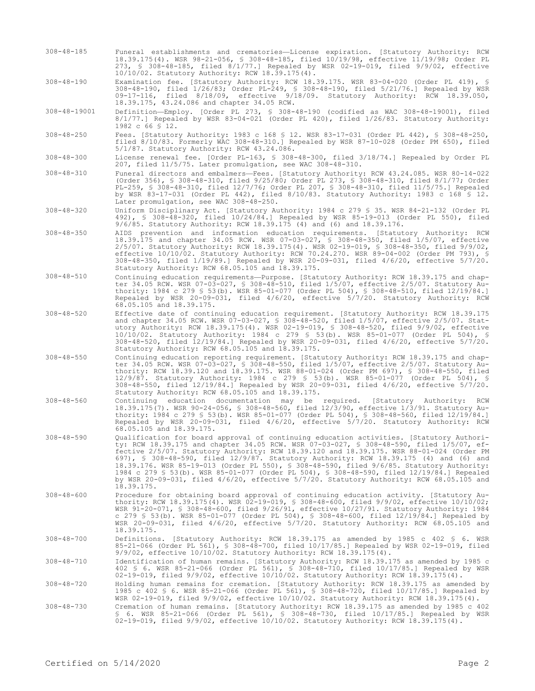308-48-185 Funeral establishments and crematories—License expiration. [Statutory Authority: RCW 18.39.175(4). WSR 98-21-056, § 308-48-185, filed 10/19/98, effective 11/19/98; Order PL 273, § 308-48-185, filed 8/1/77.] Repealed by WSR 02-19-019, filed 9/9/02, effective 10/10/02. Statutory Authority: RCW 18.39.175(4).

308-48-190 Examination fee. [Statutory Authority: RCW 18.39.175. WSR 83-04-020 (Order PL 419), § 308-48-190, filed 1/26/83; Order PL-249, § 308-48-190, filed 5/21/76.] Repealed by WSR 09-17-116, filed 8/18/09, effective 9/18/09. Statutory Authority: RCW 18.39.050, 09-17-116, filed 8/18/09, errective 31.05<br>18.39.175, 43.24.086 and chapter 34.05 RCW.

308-48-19001 Definition—Employ. [Order PL 273, § 308-48-190 (codified as WAC 308-48-19001), filed 8/1/77.] Repealed by WSR 83-04-021 (Order PL 420), filed 1/26/83. Statutory Authority: 1982 c 66 § 12.

308-48-250 Fees. [Statutory Authority: 1983 c 168 § 12. WSR 83-17-031 (Order PL 442), § 308-48-250, filed 8/10/83. Formerly WAC 308-48-310.] Repealed by WSR 87-10-028 (Order PM 650), filed 5/1/87. Statutory Authority: RCW 43.24.086.

308-48-300 License renewal fee. [Order PL-163, § 308-48-300, filed 3/18/74.] Repealed by Order PL 207, filed 11/5/75. Later promulgation, see WAC 308-48-310.

308-48-310 Funeral directors and embalmers—Fees. [Statutory Authority: RCW 43.24.085. WSR 80-14-022 (Order 356), § 308-48-310, filed 9/25/80; Order PL 273, § 308-48-310, filed 8/1/77; Order PL-259, § 308-48-310, filed 12/7/76; Order PL 207, § 308-48-310, filed 11/5/75.] Repealed by WSR 83-17-031 (Order PL 442), filed 8/10/83. Statutory Authority: 1983 c 168 § 12. Later promulgation, see WAC 308-48-250.

308-48-320 Uniform Disciplinary Act. [Statutory Authority: 1984 c 279 § 35. WSR 84-21-132 (Order PL 492), § 308-48-320, filed 10/24/84.] Repealed by WSR 85-19-013 (Order PL 550), filed 9/6/85. Statutory Authority: RCW 18.39.175 (4) and (6) and 18.39.176.

308-48-350 AIDS prevention and information education requirements. [Statutory Authority: RCW 18.39.175 and chapter 34.05 RCW. WSR 07-03-027, § 308-48-350, filed 1/5/07, effective 2/5/07. Statutory Authority: RCW 18.39.175(4). WSR 02-19-019, § 308-48-350, filed 9/9/02, effective 10/10/02. Statutory Authority: RCW 70.24.270. WSR 89-04-002 (Order PM 793), § 308-48-350, filed 1/19/89.] Repealed by WSR 20-09-031, filed 4/6/20, effective 5/7/20. Statutory Authority: RCW 68.05.105 and 18.39.175.

308-48-510 Continuing education requirements—Purpose. [Statutory Authority: RCW 18.39.175 and chapter 34.05 RCW. WSR 07-03-027, § 308-48-510, filed 1/5/07, effective 2/5/07. Statutory Authority: 1984 c 279 § 53(b). WSR 85-01-077 (Order PL 504), § 308-48-510, filed 12/19/84.] Repealed by WSR 20-09-031, filed 4/6/20, effective 5/7/20. Statutory Authority: RCW 68.05.105 and 18.39.175.

308-48-520 Effective date of continuing education requirement. [Statutory Authority: RCW 18.39.175 and chapter 34.05 RCW. WSR 07-03-027, § 308-48-520, filed 1/5/07, effective 2/5/07. Statutory Authority: RCW 18.39.175(4). WSR 02-19-019, § 308-48-520, filed 9/9/02, effective 10/10/02. Statutory Authority: 1984 c 279 § 53(b). WSR 85-01-077 (Order PL 504), § 308-48-520, filed 12/19/84.] Repealed by WSR 20-09-031, filed 4/6/20, effective 5/7/20. Statutory Authority: RCW 68.05.105 and 18.39.175.

308-48-550 Continuing education reporting requirement. [Statutory Authority: RCW 18.39.175 and chapter 34.05 RCW. WSR 07-03-027, § 308-48-550, filed 1/5/07, effective 2/5/07. Statutory Authority: RCW 18.39.120 and 18.39.175. WSR 88-01-024 (Order PM 697), § 308-48-550, filed 12/9/87. Statutory Authority: 1984 c 279 § 53(b). WSR 85-01-077 (Order PL 504), § 308-48-550, filed 12/19/84.] Repealed by WSR 20-09-031, filed 4/6/20, effective 5/7/20. Statutory Authority: RCW 68.05.105 and 18.39.175.

308-48-560 Continuing education documentation may be required. [Statutory Authority: RCW 18.39.175(7). WSR 90-24-056, § 308-48-560, filed 12/3/90, effective 1/3/91. Statutory Authority: 1984 c 279 § 53(b). WSR 85-01-077 (Order PL 504), § 308-48-560, filed 12/19/84.] Repealed by WSR 20-09-031, filed 4/6/20, effective 5/7/20. Statutory Authority: RCW 68.05.105 and 18.39.175.

308-48-590 Qualification for board approval of continuing education activities. [Statutory Authority: RCW 18.39.175 and chapter 34.05 RCW. WSR 07-03-027, § 308-48-590, filed 1/5/07, effective 2/5/07. Statutory Authority: RCW 18.39.120 and 18.39.175. WSR 88-01-024 (Order PM 697), § 308-48-590, filed 12/9/87. Statutory Authority: RCW 18.39.175 (4) and (6) and 18.39.176. WSR 85-19-013 (Order PL 550), § 308-48-590, filed 9/6/85. Statutory Authority: 1984 c 279 § 53(b). WSR 85-01-077 (Order PL 504), § 308-48-590, filed 12/19/84.] Repealed by WSR 20-09-031, filed 4/6/20, effective 5/7/20. Statutory Authority: RCW 68.05.105 and 18.39.175.

308-48-600 Procedure for obtaining board approval of continuing education activity. [Statutory Authority: RCW 18.39.175(4). WSR 02-19-019, § 308-48-600, filed 9/9/02, effective 10/10/02; WSR 91-20-071, § 308-48-600, filed 9/26/91, effective 10/27/91. Statutory Authority: 1984 c 279 § 53(b). WSR 85-01-077 (Order PL 504), § 308-48-600, filed 12/19/84.] Repealed by WSR 20-09-031, filed 4/6/20, effective 5/7/20. Statutory Authority: RCW 68.05.105 and 18.39.175.

308-48-700 Definitions. [Statutory Authority: RCW 18.39.175 as amended by 1985 c 402 § 6. WSR 85-21-066 (Order PL 561), § 308-48-700, filed 10/17/85.] Repealed by WSR 02-19-019, filed 9/9/02, effective 10/10/02. Statutory Authority: RCW 18.39.175(4).

308-48-710 Identification of human remains. [Statutory Authority: RCW 18.39.175 as amended by 1985 c 402 § 6. WSR 85-21-066 (Order PL 561), § 308-48-710, filed 10/17/85.] Repealed by WSR 02-19-019, filed  $9/9/02$ , effective  $10/10/02$ . Statutory Authority: RCW 18.39.175(4).

308-48-720 Holding human remains for cremation. [Statutory Authority: RCW 18.39.175 as amended by 1985 c 402 § 6. WSR 85-21-066 (Order PL 561), § 308-48-720, filed 10/17/85.] Repealed by WSR 02-19-019, filed 9/9/02, effective 10/10/02. Statutory Authority: RCW 18.39.175(4).

308-48-730 Cremation of human remains. [Statutory Authority: RCW 18.39.175 as amended by 1985 c 402 § 6. WSR 85-21-066 (Order PL 561), § 308-48-730, filed 10/17/85.] Repealed by WSR 02-19-019, filed 9/9/02, effective 10/10/02. Statutory Authority: RCW 18.39.175(4).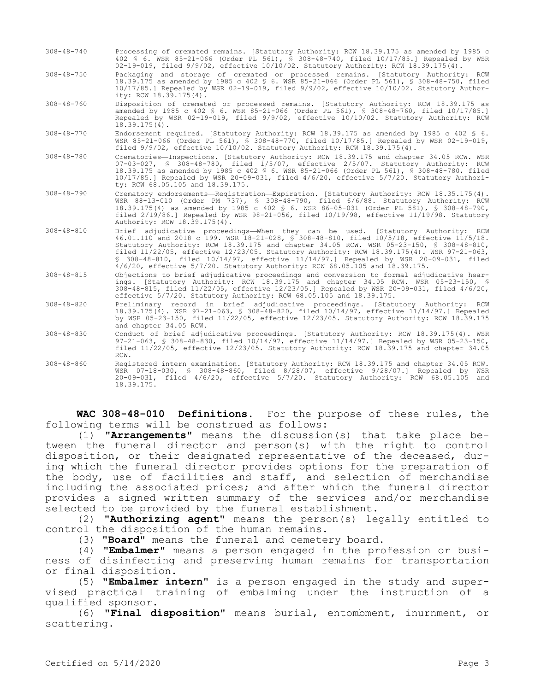- 308-48-740 Processing of cremated remains. [Statutory Authority: RCW 18.39.175 as amended by 1985 c 402 § 6. WSR 85-21-066 (Order PL 561), § 308-48-740, filed 10/17/85.] Repealed by WSR 02-19-019, filed 9/9/02, effective 10/10/02. Statutory Authority: RCW 18.39.175(4).
- 308-48-750 Packaging and storage of cremated or processed remains. [Statutory Authority: RCW 18.39.175 as amended by 1985 c 402 § 6. WSR 85-21-066 (Order PL 561), § 308-48-750, filed 10/17/85.] Repealed by WSR 02-19-019, filed 9/9/02, effective 10/10/02. Statutory Authority: RCW 18.39.175(4).
- 308-48-760 Disposition of cremated or processed remains. [Statutory Authority: RCW 18.39.175 as amended by 1985 c 402 § 6. WSR 85-21-066 (Order PL 561), § 308-48-760, filed 10/17/85.] Repealed by WSR 02-19-019, filed 9/9/02, effective 10/10/02. Statutory Authority: RCW 18.39.175(4).
- 308-48-770 Endorsement required. [Statutory Authority: RCW 18.39.175 as amended by 1985 c 402 § 6. WSR 85-21-066 (Order PL 561), § 308-48-770, filed 10/17/85.] Repealed by WSR 02-19-019, filed 9/9/02, effective 10/10/02. Statutory Authority: RCW 18.39.175(4).
- 308-48-780 Crematories—Inspections. [Statutory Authority: RCW 18.39.175 and chapter 34.05 RCW. WSR 07-03-027, § 308-48-780, filed 1/5/07, effective 2/5/07. Statutory Authority: RCW 18.39.175 as amended by 1985 c 402 § 6. WSR 85-21-066 (Order PL 561), § 308-48-780, filed 10/17/85.] Repealed by WSR 20-09-031, filed 4/6/20, effective 5/7/20. Statutory Authority: RCW 68.05.105 and 18.39.175.
- 308-48-790 Crematory endorsements—Registration—Expiration. [Statutory Authority: RCW 18.35.175(4). WSR 88-13-010 (Order PM 737), § 308-48-790, filed 6/6/88. Statutory Authority: RCW 18.39.175(4) as amended by 1985 c 402 § 6. WSR 86-05-031 (Order PL 581), § 308-48-790, filed 2/19/86.] Repealed by WSR 98-21-056, filed 10/19/98, effective 11/19/98. Statutory Authority: RCW 18.39.175(4).
- 308-48-810 Brief adjudicative proceedings—When they can be used. [Statutory Authority: RCW 46.01.110 and 2018 c 199. WSR 18-21-028, § 308-48-810, filed 10/5/18, effective 11/5/18. Statutory Authority: RCW 18.39.175 and chapter 34.05 RCW. WSR 05-23-150, § 308-48-810, filed 11/22/05, effective 12/23/05. Statutory Authority: RCW 18.39.175(4). WSR 97-21-063, § 308-48-810, filed 10/14/97, effective 11/14/97.] Repealed by WSR 20-09-031, filed 4/6/20, effective 5/7/20. Statutory Authority: RCW 68.05.105 and 18.39.175.
- 308-48-815 Objections to brief adjudicative proceedings and conversion to formal adjudicative hearings. [Statutory Authority: RCW 18.39.175 and chapter 34.05 RCW. WSR 05-23-150, § 308-48-815, filed 11/22/05, effective 12/23/05.] Repealed by WSR 20-09-031, filed 4/6/20, effective 5/7/20. Statutory Authority: RCW 68.05.105 and 18.39.175.
- 308-48-820 Preliminary record in brief adjudicative proceedings. [Statutory Authority: RCW 18.39.175(4). WSR 97-21-063, § 308-48-820, filed 10/14/97, effective 11/14/97.] Repealed by WSR 05-23-150, filed 11/22/05, effective 12/23/05. Statutory Authority: RCW 18.39.175 and chapter 34.05 RCW.
- 308-48-830 Conduct of brief adjudicative proceedings. [Statutory Authority: RCW 18.39.175(4). WSR 97-21-063, § 308-48-830, filed 10/14/97, effective 11/14/97.] Repealed by WSR 05-23-150, filed 11/22/05, effective 12/23/05. Statutory Authority: RCW 18.39.175 and chapter 34.05 RCW.
- 308-48-860 Registered intern examination. [Statutory Authority: RCW 18.39.175 and chapter 34.05 RCW. WSR 07-18-030, § 308-48-860, filed 8/28/07, effective 9/28/07.] Repealed by WSR 20-09-031, filed 4/6/20, effective 5/7/20. Statutory Authority: RCW 68.05.105 and 18.39.175.

**WAC 308-48-010 Definitions.** For the purpose of these rules, the following terms will be construed as follows:

(1) **"Arrangements"** means the discussion(s) that take place between the funeral director and person(s) with the right to control disposition, or their designated representative of the deceased, during which the funeral director provides options for the preparation of the body, use of facilities and staff, and selection of merchandise including the associated prices; and after which the funeral director provides a signed written summary of the services and/or merchandise selected to be provided by the funeral establishment.

(2) **"Authorizing agent"** means the person(s) legally entitled to control the disposition of the human remains.

(3) **"Board"** means the funeral and cemetery board.

(4) **"Embalmer"** means a person engaged in the profession or business of disinfecting and preserving human remains for transportation or final disposition.

(5) **"Embalmer intern"** is a person engaged in the study and supervised practical training of embalming under the instruction of a qualified sponsor.

(6) **"Final disposition"** means burial, entombment, inurnment, or scattering.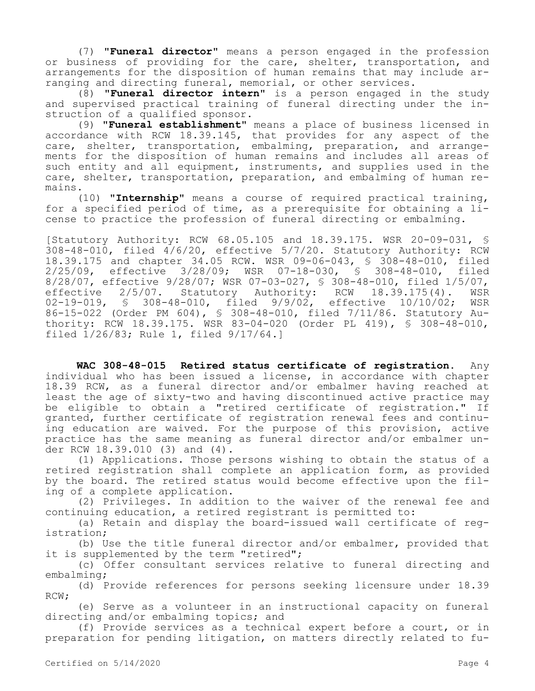(7) **"Funeral director"** means a person engaged in the profession or business of providing for the care, shelter, transportation, and arrangements for the disposition of human remains that may include arranging and directing funeral, memorial, or other services.

(8) **"Funeral director intern"** is a person engaged in the study and supervised practical training of funeral directing under the instruction of a qualified sponsor.

(9) **"Funeral establishment"** means a place of business licensed in accordance with RCW 18.39.145, that provides for any aspect of the care, shelter, transportation, embalming, preparation, and arrangements for the disposition of human remains and includes all areas of such entity and all equipment, instruments, and supplies used in the care, shelter, transportation, preparation, and embalming of human remains.

(10) **"Internship"** means a course of required practical training, for a specified period of time, as a prerequisite for obtaining a license to practice the profession of funeral directing or embalming.

[Statutory Authority: RCW 68.05.105 and 18.39.175. WSR 20-09-031, § 308-48-010, filed 4/6/20, effective 5/7/20. Statutory Authority: RCW 18.39.175 and chapter 34.05 RCW. WSR 09-06-043, § 308-48-010, filed 2/25/09, effective 3/28/09; WSR 07-18-030, § 308-48-010, filed 8/28/07, effective 9/28/07; WSR 07-03-027, \$ 308-48-010, filed 1/5/07,<br>effective 2/5/07. Statutory Authority: RCW 18.39.175(4). WSR effective 2/5/07. Statutory Authority: RCW 18.39.175(4). WSR<br>02-19-019. § 308-48-010. filed 9/9/02. effective 10/10/02: WSR 02-19-019, § 308-48-010, filed  $9/9/02$ , effective  $10/10/02$ ; 86-15-022 (Order PM 604), § 308-48-010, filed 7/11/86. Statutory Authority: RCW 18.39.175. WSR 83-04-020 (Order PL 419), § 308-48-010, filed 1/26/83; Rule 1, filed 9/17/64.]

**WAC 308-48-015 Retired status certificate of registration.** Any individual who has been issued a license, in accordance with chapter 18.39 RCW, as a funeral director and/or embalmer having reached at least the age of sixty-two and having discontinued active practice may be eligible to obtain a "retired certificate of registration." If granted, further certificate of registration renewal fees and continuing education are waived. For the purpose of this provision, active practice has the same meaning as funeral director and/or embalmer under RCW 18.39.010 (3) and (4).

(1) Applications. Those persons wishing to obtain the status of a retired registration shall complete an application form, as provided by the board. The retired status would become effective upon the filing of a complete application.

(2) Privileges. In addition to the waiver of the renewal fee and continuing education, a retired registrant is permitted to:

(a) Retain and display the board-issued wall certificate of registration;

(b) Use the title funeral director and/or embalmer, provided that it is supplemented by the term "retired";

(c) Offer consultant services relative to funeral directing and embalming;

(d) Provide references for persons seeking licensure under 18.39 RCW;

(e) Serve as a volunteer in an instructional capacity on funeral directing and/or embalming topics; and

(f) Provide services as a technical expert before a court, or in preparation for pending litigation, on matters directly related to fu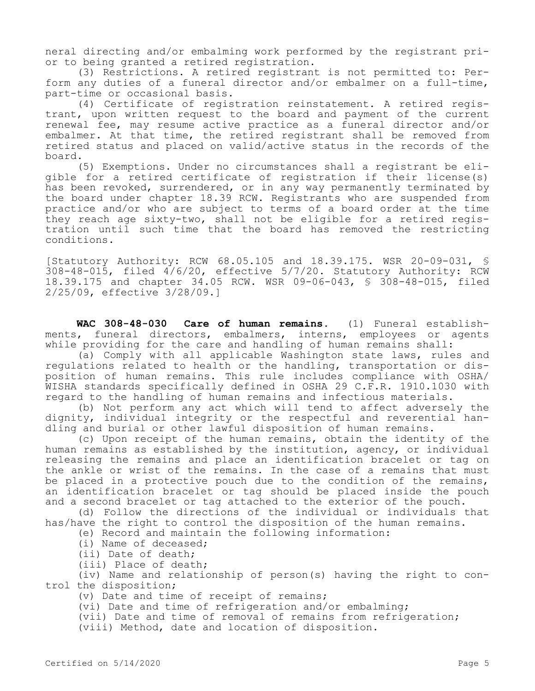neral directing and/or embalming work performed by the registrant prior to being granted a retired registration.

(3) Restrictions. A retired registrant is not permitted to: Perform any duties of a funeral director and/or embalmer on a full-time, part-time or occasional basis.

(4) Certificate of registration reinstatement. A retired registrant, upon written request to the board and payment of the current renewal fee, may resume active practice as a funeral director and/or embalmer. At that time, the retired registrant shall be removed from retired status and placed on valid/active status in the records of the board.

(5) Exemptions. Under no circumstances shall a registrant be eligible for a retired certificate of registration if their license(s) has been revoked, surrendered, or in any way permanently terminated by the board under chapter 18.39 RCW. Registrants who are suspended from practice and/or who are subject to terms of a board order at the time they reach age sixty-two, shall not be eligible for a retired registration until such time that the board has removed the restricting conditions.

[Statutory Authority: RCW 68.05.105 and 18.39.175. WSR 20-09-031, §  $308-48-015$ , filed  $4/6/20$ , effective  $5/7/20$ . Statutory Authority: RCW 18.39.175 and chapter 34.05 RCW. WSR 09-06-043, § 308-48-015, filed 2/25/09, effective 3/28/09.]

**WAC 308-48-030 Care of human remains.** (1) Funeral establishments, funeral directors, embalmers, interns, employees or agents while providing for the care and handling of human remains shall:

(a) Comply with all applicable Washington state laws, rules and regulations related to health or the handling, transportation or disposition of human remains. This rule includes compliance with OSHA/ WISHA standards specifically defined in OSHA 29 C.F.R. 1910.1030 with regard to the handling of human remains and infectious materials.

(b) Not perform any act which will tend to affect adversely the dignity, individual integrity or the respectful and reverential handling and burial or other lawful disposition of human remains.

(c) Upon receipt of the human remains, obtain the identity of the human remains as established by the institution, agency, or individual releasing the remains and place an identification bracelet or tag on the ankle or wrist of the remains. In the case of a remains that must be placed in a protective pouch due to the condition of the remains, an identification bracelet or tag should be placed inside the pouch and a second bracelet or tag attached to the exterior of the pouch.

(d) Follow the directions of the individual or individuals that has/have the right to control the disposition of the human remains.

(e) Record and maintain the following information:

(i) Name of deceased;

(ii) Date of death;

(iii) Place of death;

(iv) Name and relationship of person(s) having the right to control the disposition;

(v) Date and time of receipt of remains;

(vi) Date and time of refrigeration and/or embalming;

(vii) Date and time of removal of remains from refrigeration;

(viii) Method, date and location of disposition.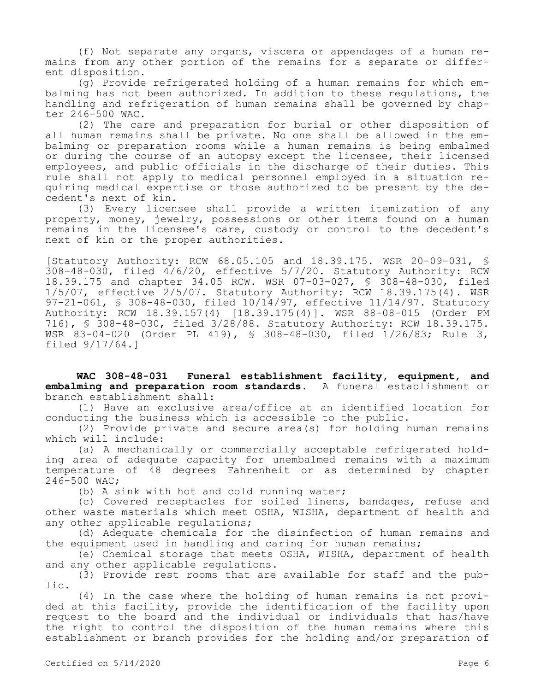(f) Not separate any organs, viscera or appendages of a human remains from any other portion of the remains for a separate or different disposition.

(g) Provide refrigerated holding of a human remains for which embalming has not been authorized. In addition to these regulations, the handling and refrigeration of human remains shall be governed by chapter 246-500 WAC.

(2) The care and preparation for burial or other disposition of all human remains shall be private. No one shall be allowed in the embalming or preparation rooms while a human remains is being embalmed or during the course of an autopsy except the licensee, their licensed employees, and public officials in the discharge of their duties. This rule shall not apply to medical personnel employed in a situation requiring medical expertise or those authorized to be present by the decedent's next of kin.

(3) Every licensee shall provide a written itemization of any property, money, jewelry, possessions or other items found on a human remains in the licensee's care, custody or control to the decedent's next of kin or the proper authorities.

[Statutory Authority: RCW 68.05.105 and 18.39.175. WSR 20-09-031, § 308-48-030, filed 4/6/20, effective 5/7/20. Statutory Authority: RCW 18.39.175 and chapter 34.05 RCW. WSR 07-03-027, § 308-48-030, filed 1/5/07, effective 2/5/07. Statutory Authority: RCW 18.39.175(4). WSR 97-21-061, § 308-48-030, filed 10/14/97, effective 11/14/97. Statutory Authority: RCW 18.39.157(4) [18.39.175(4)]. WSR 88-08-015 (Order PM 716), § 308-48-030, filed 3/28/88. Statutory Authority: RCW 18.39.175. WSR 83-04-020 (Order PL 419), § 308-48-030, filed 1/26/83; Rule 3, filed 9/17/64.]

**WAC 308-48-031 Funeral establishment facility, equipment, and embalming and preparation room standards.** A funeral establishment or branch establishment shall:

(1) Have an exclusive area/office at an identified location for conducting the business which is accessible to the public.

(2) Provide private and secure area(s) for holding human remains which will include:

(a) A mechanically or commercially acceptable refrigerated holding area of adequate capacity for unembalmed remains with a maximum temperature of 48 degrees Fahrenheit or as determined by chapter 246-500 WAC;

(b) A sink with hot and cold running water;

(c) Covered receptacles for soiled linens, bandages, refuse and other waste materials which meet OSHA, WISHA, department of health and any other applicable regulations;

(d) Adequate chemicals for the disinfection of human remains and the equipment used in handling and caring for human remains;

(e) Chemical storage that meets OSHA, WISHA, department of health and any other applicable regulations.

(3) Provide rest rooms that are available for staff and the public.

(4) In the case where the holding of human remains is not provided at this facility, provide the identification of the facility upon request to the board and the individual or individuals that has/have the right to control the disposition of the human remains where this establishment or branch provides for the holding and/or preparation of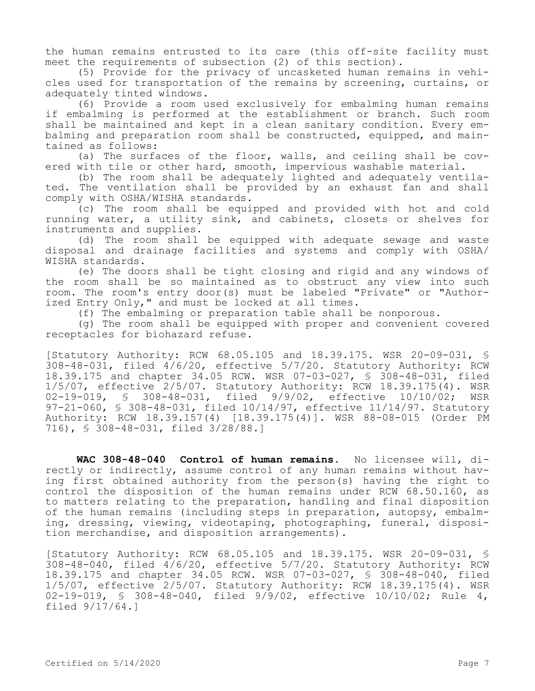the human remains entrusted to its care (this off-site facility must meet the requirements of subsection (2) of this section).

(5) Provide for the privacy of uncasketed human remains in vehicles used for transportation of the remains by screening, curtains, or adequately tinted windows.

(6) Provide a room used exclusively for embalming human remains if embalming is performed at the establishment or branch. Such room shall be maintained and kept in a clean sanitary condition. Every embalming and preparation room shall be constructed, equipped, and maintained as follows:

(a) The surfaces of the floor, walls, and ceiling shall be covered with tile or other hard, smooth, impervious washable material.

(b) The room shall be adequately lighted and adequately ventilated. The ventilation shall be provided by an exhaust fan and shall comply with OSHA/WISHA standards.

(c) The room shall be equipped and provided with hot and cold running water, a utility sink, and cabinets, closets or shelves for instruments and supplies.

(d) The room shall be equipped with adequate sewage and waste disposal and drainage facilities and systems and comply with OSHA/ WISHA standards.

(e) The doors shall be tight closing and rigid and any windows of the room shall be so maintained as to obstruct any view into such room. The room's entry door(s) must be labeled "Private" or "Authorized Entry Only," and must be locked at all times.

(f) The embalming or preparation table shall be nonporous.

(g) The room shall be equipped with proper and convenient covered receptacles for biohazard refuse.

[Statutory Authority: RCW 68.05.105 and 18.39.175. WSR 20-09-031, § 308-48-031, filed 4/6/20, effective 5/7/20. Statutory Authority: RCW 18.39.175 and chapter 34.05 RCW. WSR 07-03-027, § 308-48-031, filed 1/5/07, effective 2/5/07. Statutory Authority: RCW 18.39.175(4). WSR 02-19-019, § 308-48-031, filed 9/9/02, effective 10/10/02; WSR 97-21-060, § 308-48-031, filed 10/14/97, effective 11/14/97. Statutory Authority: RCW 18.39.157(4) [18.39.175(4)]. WSR 88-08-015 (Order PM 716), § 308-48-031, filed 3/28/88.]

**WAC 308-48-040 Control of human remains.** No licensee will, directly or indirectly, assume control of any human remains without having first obtained authority from the person(s) having the right to control the disposition of the human remains under RCW 68.50.160, as to matters relating to the preparation, handling and final disposition of the human remains (including steps in preparation, autopsy, embalming, dressing, viewing, videotaping, photographing, funeral, disposition merchandise, and disposition arrangements).

[Statutory Authority: RCW 68.05.105 and 18.39.175. WSR 20-09-031, § 308-48-040, filed 4/6/20, effective 5/7/20. Statutory Authority: RCW 18.39.175 and chapter 34.05 RCW. WSR 07-03-027, § 308-48-040, filed 1/5/07, effective 2/5/07. Statutory Authority: RCW 18.39.175(4). WSR 02-19-019, § 308-48-040, filed 9/9/02, effective 10/10/02; Rule 4, filed 9/17/64.]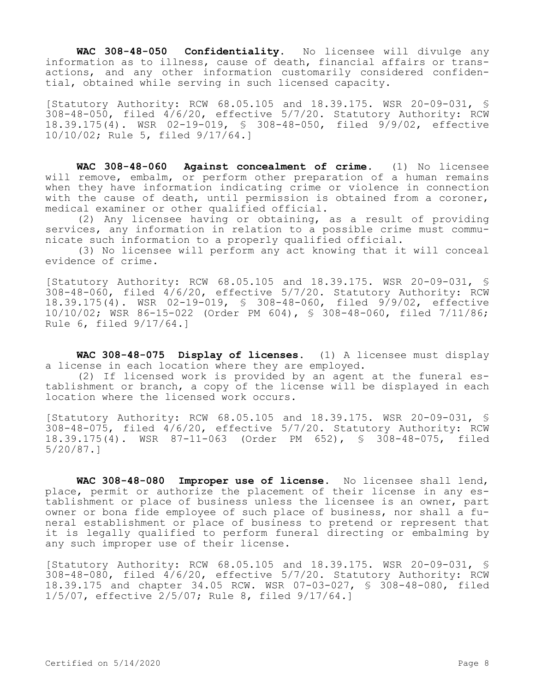**WAC 308-48-050 Confidentiality.** No licensee will divulge any information as to illness, cause of death, financial affairs or transactions, and any other information customarily considered confidential, obtained while serving in such licensed capacity.

[Statutory Authority: RCW 68.05.105 and 18.39.175. WSR 20-09-031, §  $308-48-050$ , filed  $4/6/20$ , effective  $5/7/20$ . Statutory Authority: RCW 18.39.175(4). WSR 02-19-019, § 308-48-050, filed 9/9/02, effective 10/10/02; Rule 5, filed 9/17/64.]

**WAC 308-48-060 Against concealment of crime.** (1) No licensee will remove, embalm, or perform other preparation of a human remains when they have information indicating crime or violence in connection with the cause of death, until permission is obtained from a coroner, medical examiner or other qualified official.

(2) Any licensee having or obtaining, as a result of providing services, any information in relation to a possible crime must communicate such information to a properly qualified official.

(3) No licensee will perform any act knowing that it will conceal evidence of crime.

[Statutory Authority: RCW 68.05.105 and 18.39.175. WSR 20-09-031, § 308-48-060, filed 4/6/20, effective 5/7/20. Statutory Authority: RCW 18.39.175(4). WSR 02-19-019, § 308-48-060, filed 9/9/02, effective 10/10/02; WSR 86-15-022 (Order PM 604), § 308-48-060, filed 7/11/86; Rule 6, filed 9/17/64.]

**WAC 308-48-075 Display of licenses.** (1) A licensee must display a license in each location where they are employed.

(2) If licensed work is provided by an agent at the funeral establishment or branch, a copy of the license will be displayed in each location where the licensed work occurs.

[Statutory Authority: RCW 68.05.105 and 18.39.175. WSR 20-09-031, § 308-48-075, filed 4/6/20, effective 5/7/20. Statutory Authority: RCW 18.39.175(4). WSR 87-11-063 (Order PM 652), § 308-48-075, filed 5/20/87.]

**WAC 308-48-080 Improper use of license.** No licensee shall lend, place, permit or authorize the placement of their license in any establishment or place of business unless the licensee is an owner, part owner or bona fide employee of such place of business, nor shall a funeral establishment or place of business to pretend or represent that it is legally qualified to perform funeral directing or embalming by any such improper use of their license.

[Statutory Authority: RCW 68.05.105 and 18.39.175. WSR 20-09-031, §  $308-48-080$ , filed  $4/6/20$ , effective  $5/7/20$ . Statutory Authority: RCW 18.39.175 and chapter 34.05 RCW. WSR 07-03-027, § 308-48-080, filed 1/5/07, effective 2/5/07; Rule 8, filed 9/17/64.]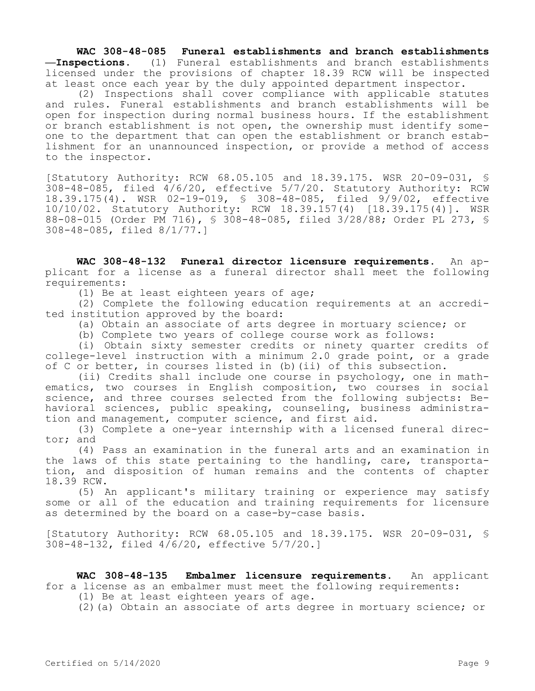**WAC 308-48-085 Funeral establishments and branch establishments —Inspections.** (1) Funeral establishments and branch establishments licensed under the provisions of chapter 18.39 RCW will be inspected at least once each year by the duly appointed department inspector.

(2) Inspections shall cover compliance with applicable statutes and rules. Funeral establishments and branch establishments will be open for inspection during normal business hours. If the establishment or branch establishment is not open, the ownership must identify someone to the department that can open the establishment or branch establishment for an unannounced inspection, or provide a method of access to the inspector.

[Statutory Authority: RCW 68.05.105 and 18.39.175. WSR 20-09-031, §  $308-48-085$ , filed  $4/6/20$ , effective  $5/7/20$ . Statutory Authority: RCW 18.39.175(4). WSR 02-19-019, § 308-48-085, filed 9/9/02, effective 10/10/02. Statutory Authority: RCW 18.39.157(4) [18.39.175(4)]. WSR 88-08-015 (Order PM 716), § 308-48-085, filed 3/28/88; Order PL 273, § 308-48-085, filed 8/1/77.]

**WAC 308-48-132 Funeral director licensure requirements.** An applicant for a license as a funeral director shall meet the following requirements:

(1) Be at least eighteen years of age;

(2) Complete the following education requirements at an accredited institution approved by the board:

(a) Obtain an associate of arts degree in mortuary science; or

(b) Complete two years of college course work as follows:

(i) Obtain sixty semester credits or ninety quarter credits of college-level instruction with a minimum 2.0 grade point, or a grade of C or better, in courses listed in (b)(ii) of this subsection.

(ii) Credits shall include one course in psychology, one in mathematics, two courses in English composition, two courses in social science, and three courses selected from the following subjects: Behavioral sciences, public speaking, counseling, business administration and management, computer science, and first aid.

(3) Complete a one-year internship with a licensed funeral director; and

(4) Pass an examination in the funeral arts and an examination in the laws of this state pertaining to the handling, care, transportation, and disposition of human remains and the contents of chapter 18.39 RCW.

(5) An applicant's military training or experience may satisfy some or all of the education and training requirements for licensure as determined by the board on a case-by-case basis.

[Statutory Authority: RCW 68.05.105 and 18.39.175. WSR 20-09-031, § 308-48-132, filed 4/6/20, effective 5/7/20.]

**WAC 308-48-135 Embalmer licensure requirements.** An applicant for a license as an embalmer must meet the following requirements:

(1) Be at least eighteen years of age.

(2)(a) Obtain an associate of arts degree in mortuary science; or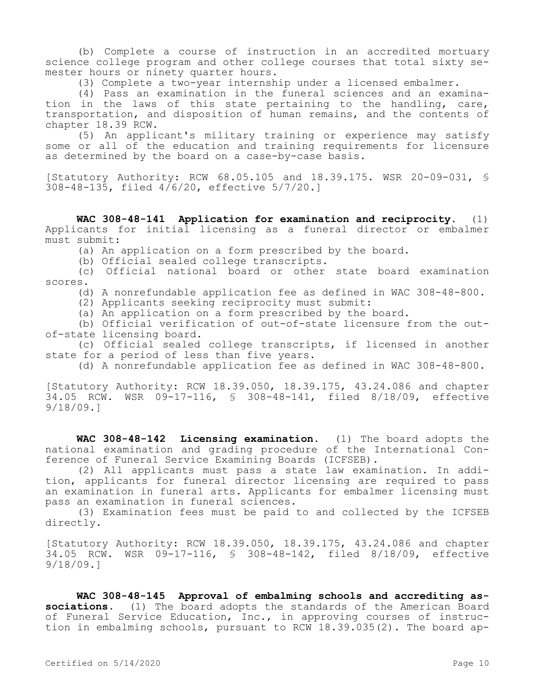(b) Complete a course of instruction in an accredited mortuary science college program and other college courses that total sixty semester hours or ninety quarter hours.

(3) Complete a two-year internship under a licensed embalmer.

(4) Pass an examination in the funeral sciences and an examination in the laws of this state pertaining to the handling, care, transportation, and disposition of human remains, and the contents of chapter 18.39 RCW.

(5) An applicant's military training or experience may satisfy some or all of the education and training requirements for licensure as determined by the board on a case-by-case basis.

[Statutory Authority: RCW 68.05.105 and 18.39.175. WSR 20-09-031, § 308-48-135, filed 4/6/20, effective 5/7/20.]

**WAC 308-48-141 Application for examination and reciprocity.** (1) Applicants for initial licensing as a funeral director or embalmer must submit:

(a) An application on a form prescribed by the board.

(b) Official sealed college transcripts.

(c) Official national board or other state board examination scores.

(d) A nonrefundable application fee as defined in WAC 308-48-800.

(2) Applicants seeking reciprocity must submit:

(a) An application on a form prescribed by the board.

(b) Official verification of out-of-state licensure from the outof-state licensing board.

(c) Official sealed college transcripts, if licensed in another state for a period of less than five years.

(d) A nonrefundable application fee as defined in WAC 308-48-800.

[Statutory Authority: RCW 18.39.050, 18.39.175, 43.24.086 and chapter 34.05 RCW. WSR 09-17-116, § 308-48-141, filed 8/18/09, effective 9/18/09.]

**WAC 308-48-142 Licensing examination.** (1) The board adopts the national examination and grading procedure of the International Conference of Funeral Service Examining Boards (ICFSEB).

(2) All applicants must pass a state law examination. In addition, applicants for funeral director licensing are required to pass an examination in funeral arts. Applicants for embalmer licensing must pass an examination in funeral sciences.

(3) Examination fees must be paid to and collected by the ICFSEB directly.

[Statutory Authority: RCW 18.39.050, 18.39.175, 43.24.086 and chapter 34.05 RCW. WSR 09-17-116, § 308-48-142, filed 8/18/09, effective 9/18/09.]

**WAC 308-48-145 Approval of embalming schools and accrediting associations.** (1) The board adopts the standards of the American Board of Funeral Service Education, Inc., in approving courses of instruction in embalming schools, pursuant to RCW 18.39.035(2). The board ap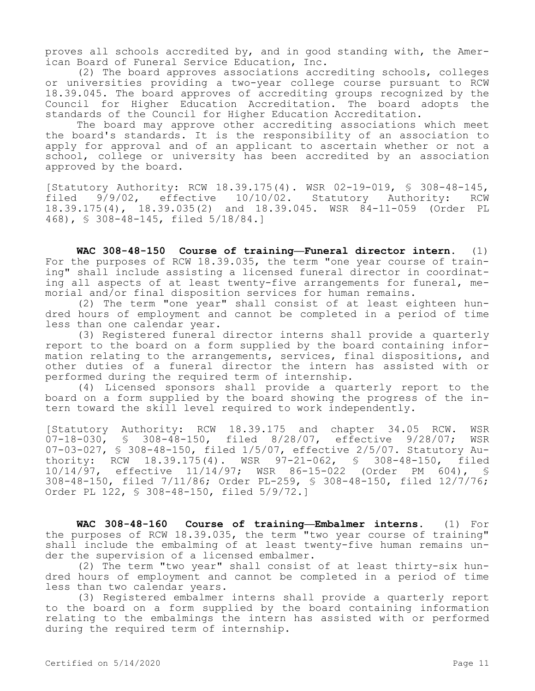proves all schools accredited by, and in good standing with, the American Board of Funeral Service Education, Inc.

(2) The board approves associations accrediting schools, colleges or universities providing a two-year college course pursuant to RCW 18.39.045. The board approves of accrediting groups recognized by the Council for Higher Education Accreditation. The board adopts the standards of the Council for Higher Education Accreditation.

The board may approve other accrediting associations which meet the board's standards. It is the responsibility of an association to apply for approval and of an applicant to ascertain whether or not a school, college or university has been accredited by an association approved by the board.

[Statutory Authority: RCW 18.39.175(4). WSR 02-19-019, § 308-48-145, filed 9/9/02, effective 10/10/02. Statutory Authority: RCW 18.39.175(4), 18.39.035(2) and 18.39.045. WSR 84-11-059 (Order PL 468), § 308-48-145, filed 5/18/84.]

**WAC 308-48-150 Course of training—Funeral director intern.** (1) For the purposes of RCW 18.39.035, the term "one year course of training" shall include assisting a licensed funeral director in coordinating all aspects of at least twenty-five arrangements for funeral, memorial and/or final disposition services for human remains.

(2) The term "one year" shall consist of at least eighteen hundred hours of employment and cannot be completed in a period of time less than one calendar year.

(3) Registered funeral director interns shall provide a quarterly report to the board on a form supplied by the board containing information relating to the arrangements, services, final dispositions, and other duties of a funeral director the intern has assisted with or performed during the required term of internship.

(4) Licensed sponsors shall provide a quarterly report to the board on a form supplied by the board showing the progress of the intern toward the skill level required to work independently.

[Statutory Authority: RCW 18.39.175 and chapter 34.05 RCW. WSR 07-18-030, § 308-48-150, filed 8/28/07, effective 9/28/07; WSR 07-03-027, § 308-48-150, filed 1/5/07, effective 2/5/07. Statutory Authority: RCW 18.39.175(4). WSR 97-21-062, § 308-48-150, filed 10/14/97, effective 11/14/97; WSR 86-15-022 (Order PM 604), § 308-48-150, filed 7/11/86; Order PL-259, § 308-48-150, filed 12/7/76; Order PL 122, § 308-48-150, filed 5/9/72.]

**WAC 308-48-160 Course of training—Embalmer interns.** (1) For the purposes of RCW 18.39.035, the term "two year course of training" shall include the embalming of at least twenty-five human remains under the supervision of a licensed embalmer.

(2) The term "two year" shall consist of at least thirty-six hundred hours of employment and cannot be completed in a period of time less than two calendar years.

(3) Registered embalmer interns shall provide a quarterly report to the board on a form supplied by the board containing information relating to the embalmings the intern has assisted with or performed during the required term of internship.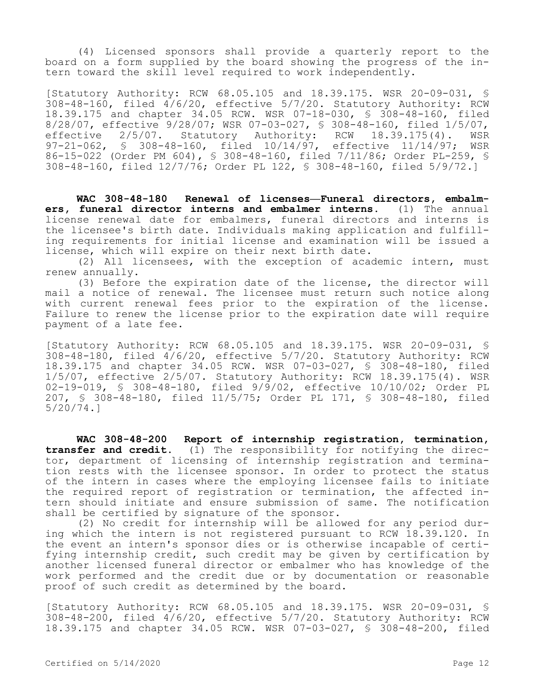(4) Licensed sponsors shall provide a quarterly report to the board on a form supplied by the board showing the progress of the intern toward the skill level required to work independently.

[Statutory Authority: RCW 68.05.105 and 18.39.175. WSR 20-09-031, § 308-48-160, filed 4/6/20, effective 5/7/20. Statutory Authority: RCW 18.39.175 and chapter 34.05 RCW. WSR 07-18-030, § 308-48-160, filed 8/28/07, effective 9/28/07; WSR 07-03-027, § 308-48-160, filed 1/5/07, effective 2/5/07. Statutory Authority: RCW 18.39.175(4). WSR 97-21-062, § 308-48-160, filed 10/14/97, effective 11/14/97; WSR 86-15-022 (Order PM 604), § 308-48-160, filed 7/11/86; Order PL-259, § 308-48-160, filed 12/7/76; Order PL 122, § 308-48-160, filed 5/9/72.]

**WAC 308-48-180 Renewal of licenses—Funeral directors, embalmers, funeral director interns and embalmer interns.** (1) The annual license renewal date for embalmers, funeral directors and interns is the licensee's birth date. Individuals making application and fulfilling requirements for initial license and examination will be issued a license, which will expire on their next birth date.

(2) All licensees, with the exception of academic intern, must renew annually.

(3) Before the expiration date of the license, the director will mail a notice of renewal. The licensee must return such notice along with current renewal fees prior to the expiration of the license. Failure to renew the license prior to the expiration date will require payment of a late fee.

[Statutory Authority: RCW 68.05.105 and 18.39.175. WSR 20-09-031, § 308-48-180, filed 4/6/20, effective 5/7/20. Statutory Authority: RCW 18.39.175 and chapter 34.05 RCW. WSR 07-03-027, § 308-48-180, filed 1/5/07, effective 2/5/07. Statutory Authority: RCW 18.39.175(4). WSR 02-19-019, § 308-48-180, filed 9/9/02, effective 10/10/02; Order PL 207, § 308-48-180, filed 11/5/75; Order PL 171, § 308-48-180, filed 5/20/74.]

**WAC 308-48-200 Report of internship registration, termination, transfer and credit.** (1) The responsibility for notifying the director, department of licensing of internship registration and termination rests with the licensee sponsor. In order to protect the status of the intern in cases where the employing licensee fails to initiate the required report of registration or termination, the affected intern should initiate and ensure submission of same. The notification shall be certified by signature of the sponsor.

(2) No credit for internship will be allowed for any period during which the intern is not registered pursuant to RCW 18.39.120. In the event an intern's sponsor dies or is otherwise incapable of certifying internship credit, such credit may be given by certification by another licensed funeral director or embalmer who has knowledge of the work performed and the credit due or by documentation or reasonable proof of such credit as determined by the board.

[Statutory Authority: RCW 68.05.105 and 18.39.175. WSR 20-09-031, § 308-48-200, filed 4/6/20, effective 5/7/20. Statutory Authority: RCW 18.39.175 and chapter 34.05 RCW. WSR 07-03-027, § 308-48-200, filed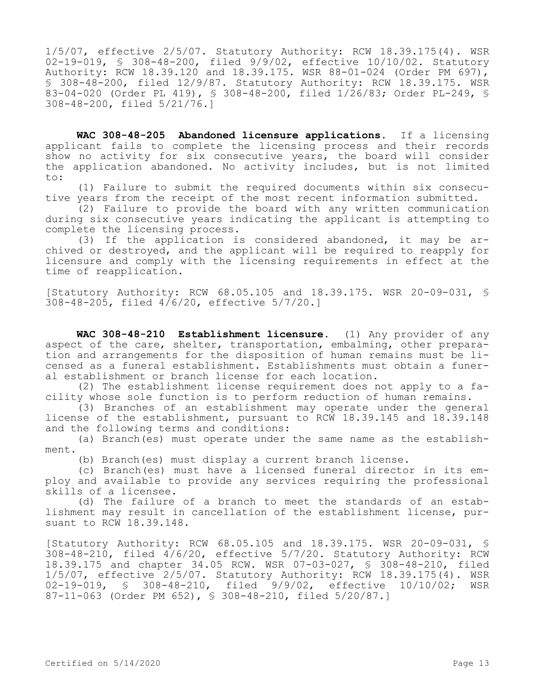1/5/07, effective 2/5/07. Statutory Authority: RCW 18.39.175(4). WSR 02-19-019, § 308-48-200, filed 9/9/02, effective 10/10/02. Statutory Authority: RCW 18.39.120 and 18.39.175. WSR 88-01-024 (Order PM 697), § 308-48-200, filed 12/9/87. Statutory Authority: RCW 18.39.175. WSR 83-04-020 (Order PL 419), § 308-48-200, filed 1/26/83; Order PL-249, § 308-48-200, filed 5/21/76.]

**WAC 308-48-205 Abandoned licensure applications.** If a licensing applicant fails to complete the licensing process and their records show no activity for six consecutive years, the board will consider the application abandoned. No activity includes, but is not limited to:

(1) Failure to submit the required documents within six consecutive years from the receipt of the most recent information submitted.

(2) Failure to provide the board with any written communication during six consecutive years indicating the applicant is attempting to complete the licensing process.

(3) If the application is considered abandoned, it may be archived or destroyed, and the applicant will be required to reapply for licensure and comply with the licensing requirements in effect at the time of reapplication.

[Statutory Authority: RCW 68.05.105 and 18.39.175. WSR 20-09-031, § 308-48-205, filed 4/6/20, effective 5/7/20.]

**WAC 308-48-210 Establishment licensure.** (1) Any provider of any aspect of the care, shelter, transportation, embalming, other preparation and arrangements for the disposition of human remains must be licensed as a funeral establishment. Establishments must obtain a funeral establishment or branch license for each location.

(2) The establishment license requirement does not apply to a facility whose sole function is to perform reduction of human remains.

(3) Branches of an establishment may operate under the general license of the establishment, pursuant to RCW 18.39.145 and 18.39.148 and the following terms and conditions:

(a) Branch(es) must operate under the same name as the establishment.

(b) Branch(es) must display a current branch license.

(c) Branch(es) must have a licensed funeral director in its employ and available to provide any services requiring the professional skills of a licensee.

(d) The failure of a branch to meet the standards of an establishment may result in cancellation of the establishment license, pursuant to RCW 18.39.148.

[Statutory Authority: RCW 68.05.105 and 18.39.175. WSR 20-09-031, § 308-48-210, filed 4/6/20, effective 5/7/20. Statutory Authority: RCW 18.39.175 and chapter 34.05 RCW. WSR 07-03-027, § 308-48-210, filed 1/5/07, effective 2/5/07. Statutory Authority: RCW 18.39.175(4). WSR 02-19-019, § 308-48-210, filed 9/9/02, effective 10/10/02; WSR 87-11-063 (Order PM 652), § 308-48-210, filed 5/20/87.]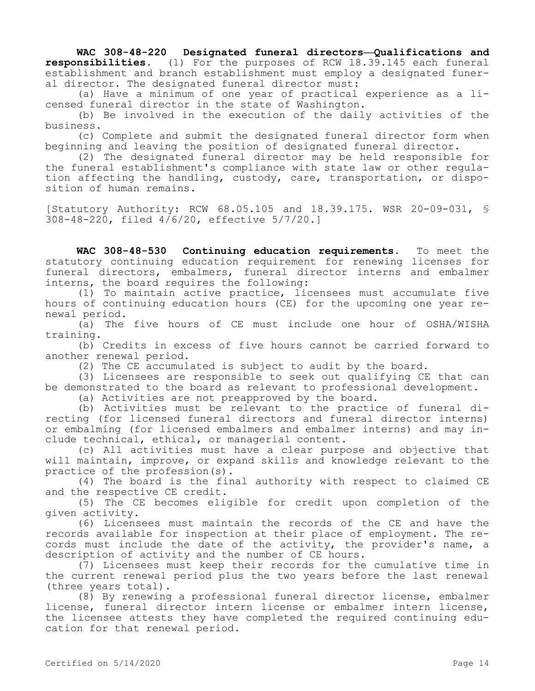**WAC 308-48-220 Designated funeral directors—Qualifications and responsibilities.** (1) For the purposes of RCW 18.39.145 each funeral establishment and branch establishment must employ a designated funeral director. The designated funeral director must:

(a) Have a minimum of one year of practical experience as a licensed funeral director in the state of Washington.

(b) Be involved in the execution of the daily activities of the business.

(c) Complete and submit the designated funeral director form when beginning and leaving the position of designated funeral director.

(2) The designated funeral director may be held responsible for the funeral establishment's compliance with state law or other regulation affecting the handling, custody, care, transportation, or disposition of human remains.

[Statutory Authority: RCW 68.05.105 and 18.39.175. WSR 20-09-031, § 308-48-220, filed 4/6/20, effective 5/7/20.]

**WAC 308-48-530 Continuing education requirements.** To meet the statutory continuing education requirement for renewing licenses for funeral directors, embalmers, funeral director interns and embalmer interns, the board requires the following:

(1) To maintain active practice, licensees must accumulate five hours of continuing education hours (CE) for the upcoming one year renewal period.

(a) The five hours of CE must include one hour of OSHA/WISHA training.

(b) Credits in excess of five hours cannot be carried forward to another renewal period.

(2) The CE accumulated is subject to audit by the board.

(3) Licensees are responsible to seek out qualifying CE that can be demonstrated to the board as relevant to professional development.

(a) Activities are not preapproved by the board.

(b) Activities must be relevant to the practice of funeral directing (for licensed funeral directors and funeral director interns) or embalming (for licensed embalmers and embalmer interns) and may include technical, ethical, or managerial content.

(c) All activities must have a clear purpose and objective that will maintain, improve, or expand skills and knowledge relevant to the practice of the profession(s).

(4) The board is the final authority with respect to claimed CE and the respective CE credit.

(5) The CE becomes eligible for credit upon completion of the given activity.

(6) Licensees must maintain the records of the CE and have the records available for inspection at their place of employment. The records must include the date of the activity, the provider's name, a description of activity and the number of CE hours.

(7) Licensees must keep their records for the cumulative time in the current renewal period plus the two years before the last renewal (three years total).

(8) By renewing a professional funeral director license, embalmer license, funeral director intern license or embalmer intern license, the licensee attests they have completed the required continuing education for that renewal period.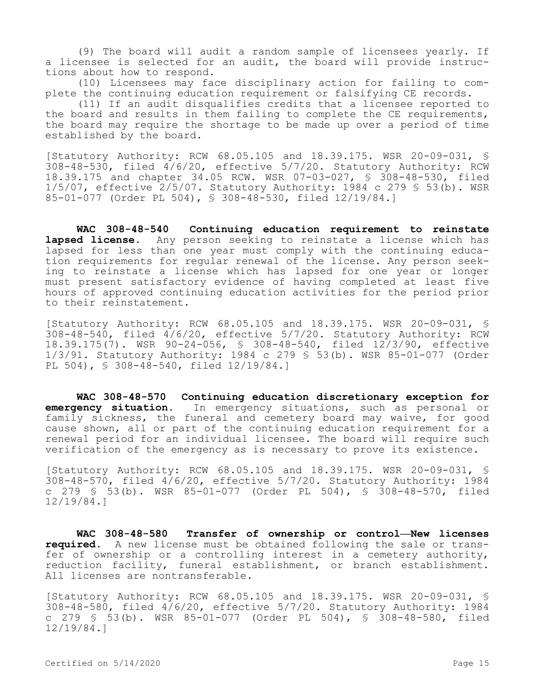(9) The board will audit a random sample of licensees yearly. If a licensee is selected for an audit, the board will provide instructions about how to respond.

(10) Licensees may face disciplinary action for failing to complete the continuing education requirement or falsifying CE records.

(11) If an audit disqualifies credits that a licensee reported to the board and results in them failing to complete the CE requirements, the board may require the shortage to be made up over a period of time established by the board.

[Statutory Authority: RCW 68.05.105 and 18.39.175. WSR 20-09-031, § 308-48-530, filed 4/6/20, effective 5/7/20. Statutory Authority: RCW 18.39.175 and chapter 34.05 RCW. WSR 07-03-027, § 308-48-530, filed 1/5/07, effective 2/5/07. Statutory Authority: 1984 c 279 § 53(b). WSR 85-01-077 (Order PL 504), § 308-48-530, filed 12/19/84.]

**WAC 308-48-540 Continuing education requirement to reinstate lapsed license.** Any person seeking to reinstate a license which has lapsed for less than one year must comply with the continuing education requirements for regular renewal of the license. Any person seeking to reinstate a license which has lapsed for one year or longer must present satisfactory evidence of having completed at least five hours of approved continuing education activities for the period prior to their reinstatement.

[Statutory Authority: RCW 68.05.105 and 18.39.175. WSR 20-09-031, § 308-48-540, filed 4/6/20, effective 5/7/20. Statutory Authority: RCW 18.39.175(7). WSR 90-24-056, § 308-48-540, filed 12/3/90, effective 1/3/91. Statutory Authority: 1984 c 279 § 53(b). WSR 85-01-077 (Order PL 504), § 308-48-540, filed 12/19/84.]

**WAC 308-48-570 Continuing education discretionary exception for emergency situation.** In emergency situations, such as personal or family sickness, the funeral and cemetery board may waive, for good cause shown, all or part of the continuing education requirement for a renewal period for an individual licensee. The board will require such verification of the emergency as is necessary to prove its existence.

[Statutory Authority: RCW 68.05.105 and 18.39.175. WSR 20-09-031, § 308-48-570, filed  $4/6/20$ , effective  $5/7/20$ . Statutory Authority: 1984 c 279 § 53(b). WSR 85-01-077 (Order PL 504), § 308-48-570, filed 12/19/84.]

**WAC 308-48-580 Transfer of ownership or control—New licenses required.** A new license must be obtained following the sale or transfer of ownership or a controlling interest in a cemetery authority, reduction facility, funeral establishment, or branch establishment. All licenses are nontransferable.

[Statutory Authority: RCW 68.05.105 and 18.39.175. WSR 20-09-031, § 308-48-580, filed 4/6/20, effective 5/7/20. Statutory Authority: 1984 c 279 § 53(b). WSR 85-01-077 (Order PL 504), § 308-48-580, filed 12/19/84.]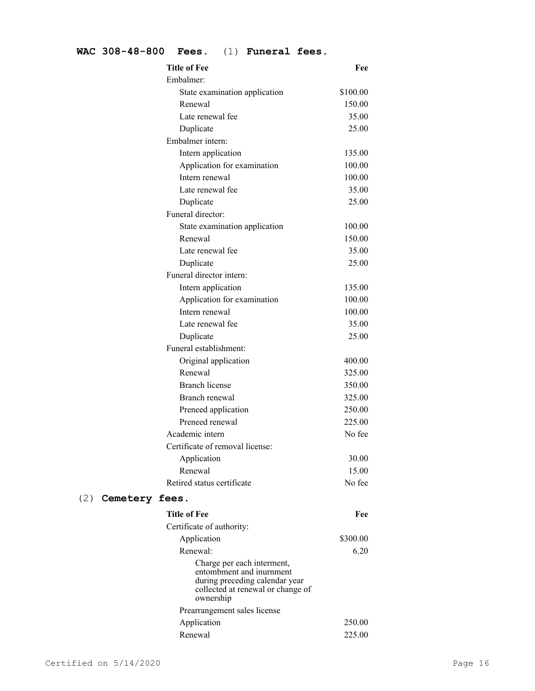## **WAC 308-48-800 Fees.** (1) **Funeral fees.**

|     |                | <b>Title of Fee</b>             | Fee      |
|-----|----------------|---------------------------------|----------|
|     |                | Embalmer:                       |          |
|     |                | State examination application   | \$100.00 |
|     |                | Renewal                         | 150.00   |
|     |                | Late renewal fee                | 35.00    |
|     |                | Duplicate                       | 25.00    |
|     |                | Embalmer intern:                |          |
|     |                | Intern application              | 135.00   |
|     |                | Application for examination     | 100.00   |
|     |                | Intern renewal                  | 100.00   |
|     |                | Late renewal fee                | 35.00    |
|     |                | Duplicate                       | 25.00    |
|     |                | Funeral director:               |          |
|     |                | State examination application   | 100.00   |
|     |                | Renewal                         | 150.00   |
|     |                | Late renewal fee                | 35.00    |
|     |                | Duplicate                       | 25.00    |
|     |                | Funeral director intern:        |          |
|     |                | Intern application              | 135.00   |
|     |                | Application for examination     | 100.00   |
|     |                | Intern renewal                  | 100.00   |
|     |                | Late renewal fee                | 35.00    |
|     |                | Duplicate                       | 25.00    |
|     |                | Funeral establishment:          |          |
|     |                | Original application            | 400.00   |
|     |                | Renewal                         | 325.00   |
|     |                | <b>Branch license</b>           | 350.00   |
|     |                | Branch renewal                  | 325.00   |
|     |                | Preneed application             | 250.00   |
|     |                | Preneed renewal                 | 225.00   |
|     |                | Academic intern                 | No fee   |
|     |                | Certificate of removal license: |          |
|     |                | Application                     | 30.00    |
|     |                | Renewal                         | 15.00    |
|     |                | Retired status certificate      | No fee   |
| (2) | Cemetery fees. |                                 |          |
|     |                | <b>Title of Fee</b>             | Fee      |
|     |                | Certificate of authority:       |          |
|     |                | Application                     | \$300.00 |
|     |                | Renewal:                        | 6.20     |
|     |                |                                 |          |

Charge per each interment, entombment and inurnment during preceding calendar year collected at renewal or change of ownership Prearrangement sales license Application 250.00 Renewal 225.00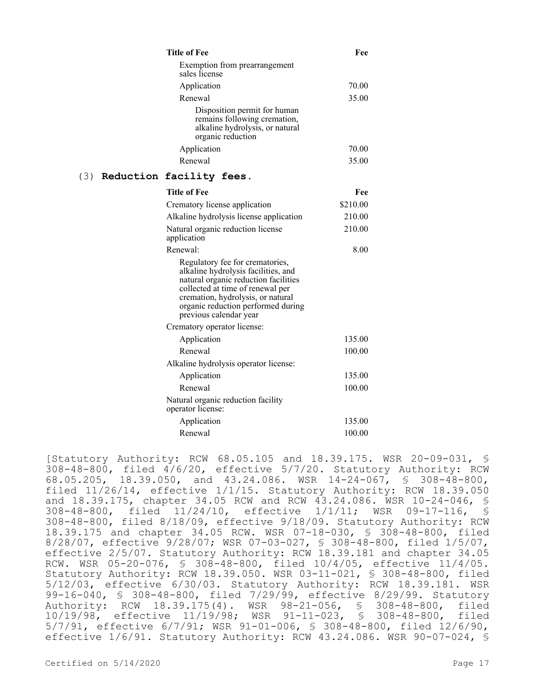|     | <b>Title of Fee</b>                                                                                                                                                                                                                                     | Fee      |
|-----|---------------------------------------------------------------------------------------------------------------------------------------------------------------------------------------------------------------------------------------------------------|----------|
|     | Exemption from prearrangement<br>sales license                                                                                                                                                                                                          |          |
|     | Application                                                                                                                                                                                                                                             | 70.00    |
|     | Renewal                                                                                                                                                                                                                                                 | 35.00    |
|     | Disposition permit for human<br>remains following cremation,<br>alkaline hydrolysis, or natural<br>organic reduction                                                                                                                                    |          |
|     | Application                                                                                                                                                                                                                                             | 70.00    |
|     | Renewal                                                                                                                                                                                                                                                 | 35.00    |
| (3) | Reduction facility fees.                                                                                                                                                                                                                                |          |
|     | <b>Title of Fee</b>                                                                                                                                                                                                                                     | Fee      |
|     | Crematory license application                                                                                                                                                                                                                           | \$210.00 |
|     | Alkaline hydrolysis license application                                                                                                                                                                                                                 | 210.00   |
|     | Natural organic reduction license<br>application                                                                                                                                                                                                        | 210.00   |
|     | Renewal:                                                                                                                                                                                                                                                | 8.00     |
|     | Regulatory fee for crematories,<br>alkaline hydrolysis facilities, and<br>natural organic reduction facilities<br>collected at time of renewal per<br>cremation, hydrolysis, or natural<br>organic reduction performed during<br>previous calendar year |          |
|     | Crematory operator license:                                                                                                                                                                                                                             |          |
|     | Application                                                                                                                                                                                                                                             | 135.00   |
|     | Renewal                                                                                                                                                                                                                                                 | 100.00   |
|     | Alkaline hydrolysis operator license:                                                                                                                                                                                                                   |          |
|     | Application                                                                                                                                                                                                                                             | 135.00   |
|     | Renewal                                                                                                                                                                                                                                                 | 100.00   |
|     | Natural organic reduction facility<br>operator license:                                                                                                                                                                                                 |          |
|     | Application                                                                                                                                                                                                                                             | 135.00   |
|     | Renewal                                                                                                                                                                                                                                                 | 100.00   |

[Statutory Authority: RCW 68.05.105 and 18.39.175. WSR 20-09-031, § 308-48-800, filed  $4/6/20$ , effective  $5/7/20$ . Statutory Authority: RCW 68.05.205, 18.39.050, and 43.24.086. WSR 14-24-067, § 308-48-800, filed 11/26/14, effective 1/1/15. Statutory Authority: RCW 18.39.050 and 18.39.175, chapter 34.05 RCW and RCW 43.24.086. WSR 10-24-046, § 308-48-800, filed 11/24/10, effective 1/1/11; WSR 09-17-116, § 308-48-800, filed 8/18/09, effective 9/18/09. Statutory Authority: RCW 18.39.175 and chapter 34.05 RCW. WSR 07-18-030, § 308-48-800, filed 8/28/07, effective 9/28/07; WSR 07-03-027, § 308-48-800, filed 1/5/07, effective 2/5/07. Statutory Authority: RCW 18.39.181 and chapter 34.05 RCW. WSR 05-20-076, § 308-48-800, filed 10/4/05, effective 11/4/05. Statutory Authority: RCW 18.39.050. WSR 03-11-021, § 308-48-800, filed 5/12/03, effective 6/30/03. Statutory Authority: RCW 18.39.181. WSR 99-16-040, § 308-48-800, filed 7/29/99, effective 8/29/99. Statutory Authority: RCW 18.39.175(4). WSR 98-21-056, § 308-48-800, filed 10/19/98, effective 11/19/98; WSR 91-11-023, § 308-48-800, filed 5/7/91, effective 6/7/91; WSR 91-01-006, § 308-48-800, filed 12/6/90, effective 1/6/91. Statutory Authority: RCW 43.24.086. WSR 90-07-024, §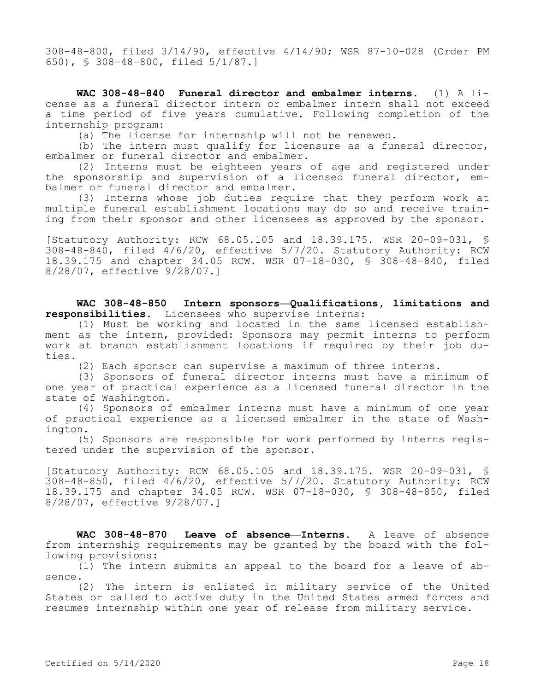308-48-800, filed 3/14/90, effective 4/14/90; WSR 87-10-028 (Order PM 650), § 308-48-800, filed 5/1/87.]

**WAC 308-48-840 Funeral director and embalmer interns.** (1) A license as a funeral director intern or embalmer intern shall not exceed a time period of five years cumulative. Following completion of the internship program:

(a) The license for internship will not be renewed.

(b) The intern must qualify for licensure as a funeral director, embalmer or funeral director and embalmer.

(2) Interns must be eighteen years of age and registered under the sponsorship and supervision of a licensed funeral director, embalmer or funeral director and embalmer.

(3) Interns whose job duties require that they perform work at multiple funeral establishment locations may do so and receive training from their sponsor and other licensees as approved by the sponsor.

[Statutory Authority: RCW 68.05.105 and 18.39.175. WSR 20-09-031, § 308-48-840, filed 4/6/20, effective 5/7/20. Statutory Authority: RCW 18.39.175 and chapter 34.05 RCW. WSR 07-18-030, § 308-48-840, filed 8/28/07, effective 9/28/07.]

**WAC 308-48-850 Intern sponsors—Qualifications, limitations and responsibilities.** Licensees who supervise interns:

(1) Must be working and located in the same licensed establishment as the intern, provided: Sponsors may permit interns to perform work at branch establishment locations if required by their job duties.

(2) Each sponsor can supervise a maximum of three interns.

(3) Sponsors of funeral director interns must have a minimum of one year of practical experience as a licensed funeral director in the state of Washington.

(4) Sponsors of embalmer interns must have a minimum of one year of practical experience as a licensed embalmer in the state of Washington.

(5) Sponsors are responsible for work performed by interns registered under the supervision of the sponsor.

[Statutory Authority: RCW 68.05.105 and 18.39.175. WSR 20-09-031, § 308-48-850, filed 4/6/20, effective 5/7/20. Statutory Authority: RCW 18.39.175 and chapter 34.05 RCW. WSR 07-18-030, § 308-48-850, filed 8/28/07, effective 9/28/07.]

**WAC 308-48-870 Leave of absence—Interns.** A leave of absence from internship requirements may be granted by the board with the following provisions:

(1) The intern submits an appeal to the board for a leave of absence.

(2) The intern is enlisted in military service of the United States or called to active duty in the United States armed forces and resumes internship within one year of release from military service.